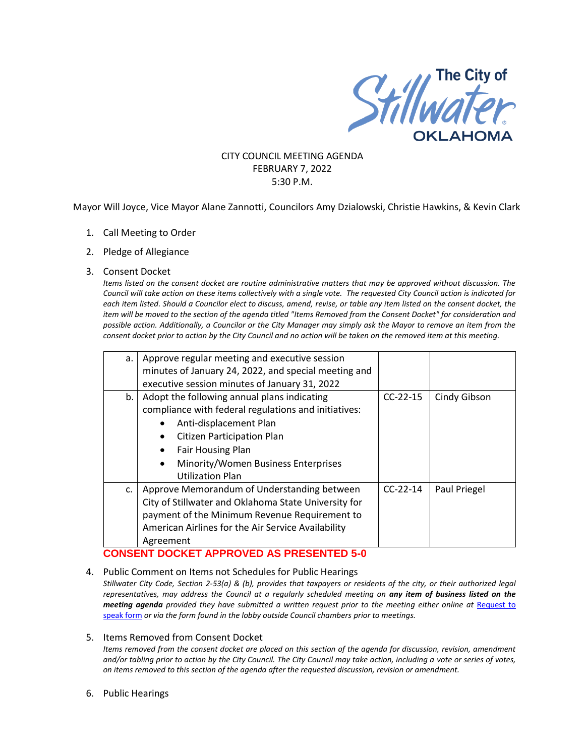

# CITY COUNCIL MEETING AGENDA FEBRUARY 7, 2022 5:30 P.M.

Mayor Will Joyce, Vice Mayor Alane Zannotti, Councilors Amy Dzialowski, Christie Hawkins, & Kevin Clark

- 1. Call Meeting to Order
- 2. Pledge of Allegiance

#### 3. Consent Docket

*Items listed on the consent docket are routine administrative matters that may be approved without discussion. The Council will take action on these items collectively with a single vote. The requested City Council action is indicated for each item listed. Should a Councilor elect to discuss, amend, revise, or table any item listed on the consent docket, the item will be moved to the section of the agenda titled "Items Removed from the Consent Docket" for consideration and possible action. Additionally, a Councilor or the City Manager may simply ask the Mayor to remove an item from the consent docket prior to action by the City Council and no action will be taken on the removed item at this meeting.*

| a. | Approve regular meeting and executive session<br>minutes of January 24, 2022, and special meeting and<br>executive session minutes of January 31, 2022                                                                                                                        |            |              |
|----|-------------------------------------------------------------------------------------------------------------------------------------------------------------------------------------------------------------------------------------------------------------------------------|------------|--------------|
| b. | Adopt the following annual plans indicating<br>compliance with federal regulations and initiatives:<br>Anti-displacement Plan<br><b>Citizen Participation Plan</b><br><b>Fair Housing Plan</b><br>Minority/Women Business Enterprises<br>$\bullet$<br><b>Utilization Plan</b> | $CC-22-15$ | Cindy Gibson |
| c. | Approve Memorandum of Understanding between<br>City of Stillwater and Oklahoma State University for<br>payment of the Minimum Revenue Requirement to<br>American Airlines for the Air Service Availability<br>Agreement                                                       | $CC-22-14$ | Paul Priegel |

# **CONSENT DOCKET APPROVED AS PRESENTED 5-0**

4. Public Comment on Items not Schedules for Public Hearings

*Stillwater City Code, Section 2-53(a) & (b), provides that taxpayers or residents of the city, or their authorized legal representatives, may address the Council at a regularly scheduled meeting on any item of business listed on the meeting agenda provided they have submitted a written request prior to the meeting either online at Request to* [speak form](http://stillwater.org/page/home/government/mayor-city-council/meetings-agendas-minutes/online-request-to-speak-at-city-council) *or via the form found in the lobby outside Council chambers prior to meetings.*

5. Items Removed from Consent Docket

*Items removed from the consent docket are placed on this section of the agenda for discussion, revision, amendment and/or tabling prior to action by the City Council. The City Council may take action, including a vote or series of votes, on items removed to this section of the agenda after the requested discussion, revision or amendment.*

6. Public Hearings